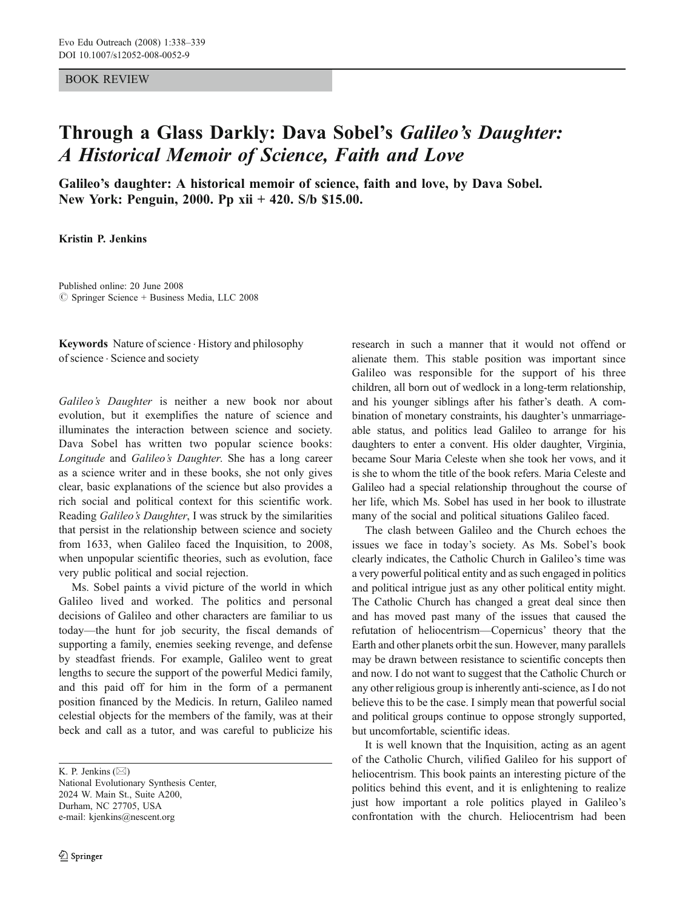## BOOK REVIEW

## Through a Glass Darkly: Dava Sobel's Galileo*'*s Daughter: A Historical Memoir of Science, Faith and Love

Galileo's daughter: A historical memoir of science, faith and love, by Dava Sobel. New York: Penguin, 2000. Pp xii + 420. S/b \$15.00.

Kristin P. Jenkins

Published online: 20 June 2008  $\circledcirc$  Springer Science + Business Media, LLC 2008

Keywords Nature of science . History and philosophy of science . Science and society

Galileo's Daughter is neither a new book nor about evolution, but it exemplifies the nature of science and illuminates the interaction between science and society. Dava Sobel has written two popular science books: Longitude and Galileo's Daughter. She has a long career as a science writer and in these books, she not only gives clear, basic explanations of the science but also provides a rich social and political context for this scientific work. Reading Galileo's Daughter, I was struck by the similarities that persist in the relationship between science and society from 1633, when Galileo faced the Inquisition, to 2008, when unpopular scientific theories, such as evolution, face very public political and social rejection.

Ms. Sobel paints a vivid picture of the world in which Galileo lived and worked. The politics and personal decisions of Galileo and other characters are familiar to us today—the hunt for job security, the fiscal demands of supporting a family, enemies seeking revenge, and defense by steadfast friends. For example, Galileo went to great lengths to secure the support of the powerful Medici family, and this paid off for him in the form of a permanent position financed by the Medicis. In return, Galileo named celestial objects for the members of the family, was at their beck and call as a tutor, and was careful to publicize his

K. P. Jenkins (*\**) National Evolutionary Synthesis Center, 2024 W. Main St., Suite A200, Durham, NC 27705, USA e-mail: kjenkins@nescent.org

research in such a manner that it would not offend or alienate them. This stable position was important since Galileo was responsible for the support of his three children, all born out of wedlock in a long-term relationship, and his younger siblings after his father's death. A combination of monetary constraints, his daughter's unmarriageable status, and politics lead Galileo to arrange for his daughters to enter a convent. His older daughter, Virginia, became Sour Maria Celeste when she took her vows, and it is she to whom the title of the book refers. Maria Celeste and Galileo had a special relationship throughout the course of her life, which Ms. Sobel has used in her book to illustrate many of the social and political situations Galileo faced.

The clash between Galileo and the Church echoes the issues we face in today's society. As Ms. Sobel's book clearly indicates, the Catholic Church in Galileo's time was a very powerful political entity and as such engaged in politics and political intrigue just as any other political entity might. The Catholic Church has changed a great deal since then and has moved past many of the issues that caused the refutation of heliocentrism—Copernicus' theory that the Earth and other planets orbit the sun. However, many parallels may be drawn between resistance to scientific concepts then and now. I do not want to suggest that the Catholic Church or any other religious group is inherently anti-science, as I do not believe this to be the case. I simply mean that powerful social and political groups continue to oppose strongly supported, but uncomfortable, scientific ideas.

It is well known that the Inquisition, acting as an agent of the Catholic Church, vilified Galileo for his support of heliocentrism. This book paints an interesting picture of the politics behind this event, and it is enlightening to realize just how important a role politics played in Galileo's confrontation with the church. Heliocentrism had been